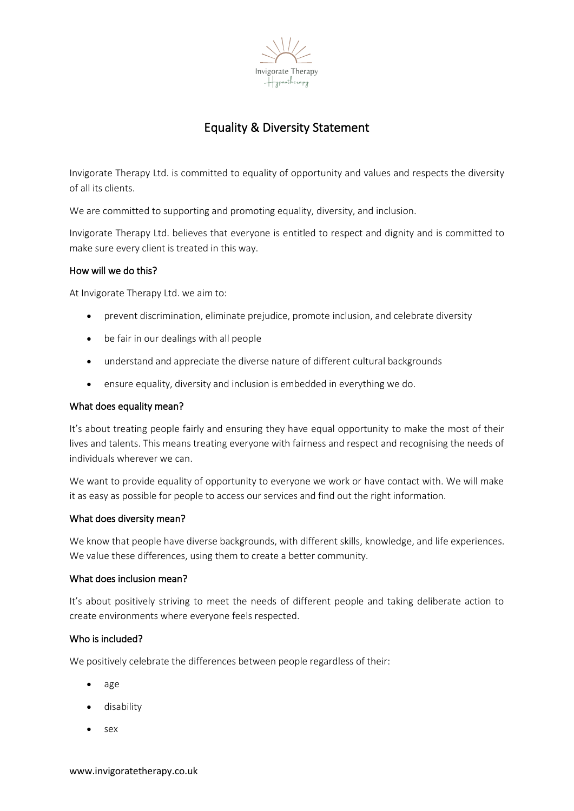

# Equality & Diversity Statement

Invigorate Therapy Ltd. is committed to equality of opportunity and values and respects the diversity of all its clients.

We are committed to supporting and promoting equality, diversity, and inclusion.

Invigorate Therapy Ltd. believes that everyone is entitled to respect and dignity and is committed to make sure every client is treated in this way.

## How will we do this?

At Invigorate Therapy Ltd. we aim to:

- prevent discrimination, eliminate prejudice, promote inclusion, and celebrate diversity
- be fair in our dealings with all people
- understand and appreciate the diverse nature of different cultural backgrounds
- ensure equality, diversity and inclusion is embedded in everything we do.

#### What does equality mean?

It's about treating people fairly and ensuring they have equal opportunity to make the most of their lives and talents. This means treating everyone with fairness and respect and recognising the needs of individuals wherever we can.

We want to provide equality of opportunity to everyone we work or have contact with. We will make it as easy as possible for people to access our services and find out the right information.

#### What does diversity mean?

We know that people have diverse backgrounds, with different skills, knowledge, and life experiences. We value these differences, using them to create a better community.

#### What does inclusion mean?

It's about positively striving to meet the needs of different people and taking deliberate action to create environments where everyone feels respected.

### Who is included?

We positively celebrate the differences between people regardless of their:

- age
- disability
- sex